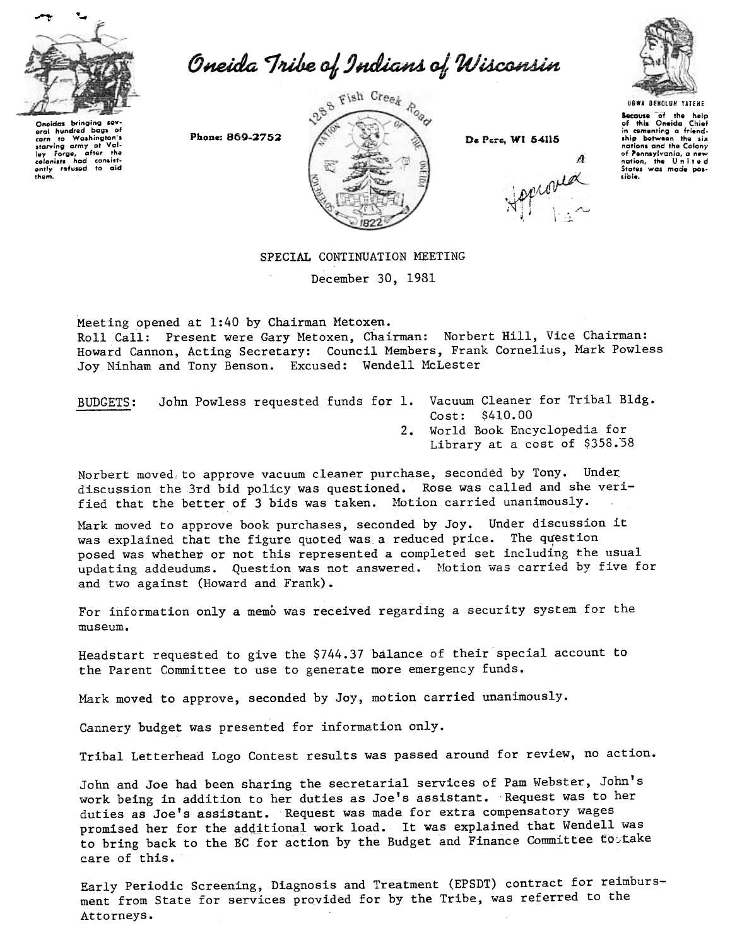

eral nundred bags of<br>corn to Washington's<br>starving army at Val-<br>ley forge, after the<br>colonists had consist-<br>ently refused to aid<br>them.

eral hundred baas o

Oneida Tribe of Indians of Wisconsin

288 Fish Creek Road

De Pere, WI 54115

A

pproved

**UGWA DENOLUN YATENE** 

Secause of the help<br>of this Oneida Chief<br>in comenting a friend-<br>ship between the six<br>nations and the Colony of Pennsylvania, a new<br>nation, the United sible.

## SPECIAL CONTINUATION MEETING

December 30, 1981

Meeting opened at 1:40 by Chairman Metoxen.

Roll Call: Present were Gary Metoxen, Chairman: Norbert Hill, Vice Chairman: Howard Cannon, Acting Secretary: Council Members, Frank Cornelius, Mark Powless Joy Ninham and Tony Benson. Excused: Wendell McLester

John Powless requested funds for 1. Vacuum Cleaner for Tribal Bldg. **BUDGETS:** Cost: \$410.00

2. World Book Encyclopedia for Library at a cost of \$358.58

Norbert moved to approve vacuum cleaner purchase, seconded by Tony. Under discussion the 3rd bid policy was questioned. Rose was called and she verified that the better of 3 bids was taken. Motion carried unanimously.

Mark moved to approve book purchases, seconded by Joy. Under discussion it was explained that the figure quoted was a reduced price. The question posed was whether or not this represented a completed set including the usual updating addeudums. Question was not answered. Motion was carried by five for and two against (Howard and Frank).

For information only a memo was received regarding a security system for the  $m$ 15 $e$ 1 $m$ .

Headstart requested to give the \$744.37 balance of their special account to the Parent Committee to use to generate more emergency funds.

Mark moved to approve, seconded by Joy, motion carried unanimously.

Cannery budget was presented for information only.

Tribal Letterhead Logo Contest results was passed around for review, no action.

John and Joe had been sharing the secretarial services of Pam Webster, John's work being in addition to her duties as Joe's assistant. Request was to her duties as Joe's assistant. Request was made for extra compensatory wages promised her for the additional work load. It was explained that Wendell was to bring back to the BC for action by the Budget and Finance Committee fortake care of this.

Early Periodic Screening, Diagnosis and Treatment (EPSDT) contract for reimbursment from State for services provided for by the Tribe, was referred to the Attorneys.

Phone: 869-2752